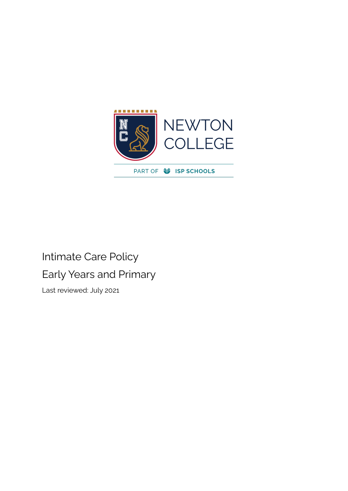

# Intimate Care Policy Early Years and Primary

Last reviewed: July 2021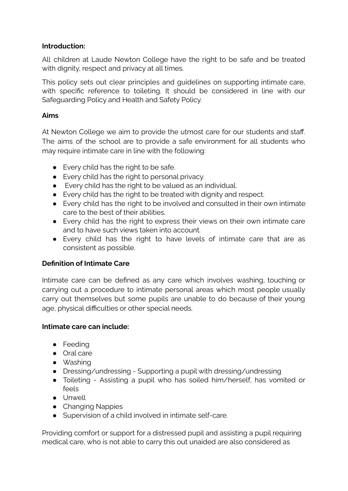#### **Introduction:**

All children at Laude Newton College have the right to be safe and be treated with dignity, respect and privacy at all times.

This policy sets out clear principles and guidelines on supporting intimate care, with specific reference to toileting. It should be considered in line with our Safeguarding Policy and Health and Safety Policy.

#### **Aims**

At Newton College we aim to provide the utmost care for our students and staff. The aims of the school are to provide a safe environment for all students who may require intimate care in line with the following:

- Every child has the right to be safe.
- Every child has the right to personal privacy.
- Every child has the right to be valued as an individual.
- Every child has the right to be treated with dignity and respect.
- Every child has the right to be involved and consulted in their own intimate care to the best of their abilities.
- Every child has the right to express their views on their own intimate care and to have such views taken into account.
- Every child has the right to have levels of intimate care that are as consistent as possible.

# **Definition of Intimate Care**

Intimate care can be defined as any care which involves washing, touching or carrying out a procedure to intimate personal areas which most people usually carry out themselves but some pupils are unable to do because of their young age, physical difficulties or other special needs.

# **Intimate care can include:**

- Feeding
- Oral care
- Washing
- Dressing/undressing Supporting a pupil with dressing/undressing
- Toileting Assisting a pupil who has soiled him/herself, has vomited or feels
- Unwell
- Changing Nappies
- Supervision of a child involved in intimate self-care.

Providing comfort or support for a distressed pupil and assisting a pupil requiring medical care, who is not able to carry this out unaided are also considered as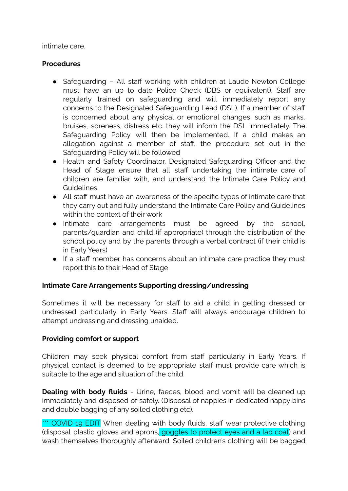intimate care.

#### **Procedures**

- Safeguarding All staff working with children at Laude Newton College must have an up to date Police Check (DBS or equivalent). Staff are regularly trained on safeguarding and will immediately report any concerns to the Designated Safeguarding Lead (DSL). If a member of staff is concerned about any physical or emotional changes, such as marks, bruises, soreness, distress etc. they will inform the DSL immediately. The Safeguarding Policy will then be implemented. If a child makes an allegation against a member of staff, the procedure set out in the Safeguarding Policy will be followed
- Health and Safety Coordinator, Designated Safeguarding Officer and the Head of Stage ensure that all staff undertaking the intimate care of children are familiar with, and understand the Intimate Care Policy and Guidelines.
- All staff must have an awareness of the specific types of intimate care that they carry out and fully understand the Intimate Care Policy and Guidelines within the context of their work
- Intimate care arrangements must be agreed by the school, parents/guardian and child (if appropriate) through the distribution of the school policy and by the parents through a verbal contract (if their child is in Early Years)
- If a staff member has concerns about an intimate care practice they must report this to their Head of Stage

#### **Intimate Care Arrangements Supporting dressing/undressing**

Sometimes it will be necessary for staff to aid a child in getting dressed or undressed particularly in Early Years. Staff will always encourage children to attempt undressing and dressing unaided.

#### **Providing comfort or support**

Children may seek physical comfort from staff particularly in Early Years. If physical contact is deemed to be appropriate staff must provide care which is suitable to the age and situation of the child.

**Dealing with body fluids** - Urine, faeces, blood and vomit will be cleaned up immediately and disposed of safely. (Disposal of nappies in dedicated nappy bins and double bagging of any soiled clothing etc).

\*\*\* COVID 19 EDIT When dealing with body fluids, staff wear protective clothing (disposal plastic gloves and aprons, goggles to protect eyes and a lab coat) and wash themselves thoroughly afterward. Soiled children's clothing will be bagged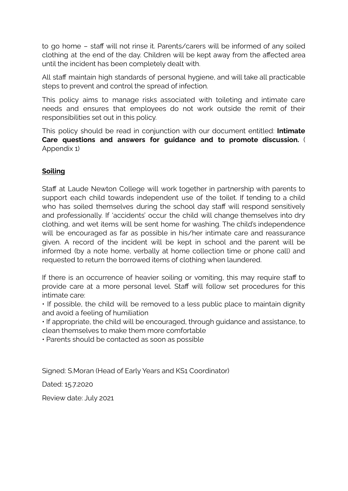to go home – staff will not rinse it. Parents/carers will be informed of any soiled clothing at the end of the day. Children will be kept away from the affected area until the incident has been completely dealt with.

All staff maintain high standards of personal hygiene, and will take all practicable steps to prevent and control the spread of infection.

This policy aims to manage risks associated with toileting and intimate care needs and ensures that employees do not work outside the remit of their responsibilities set out in this policy.

This policy should be read in conjunction with our document entitled: **Intimate Care questions and answers for guidance and to promote discussion.** ( Appendix 1)

# **Soiling**

Staff at Laude Newton College will work together in partnership with parents to support each child towards independent use of the toilet. If tending to a child who has soiled themselves during the school day staff will respond sensitively and professionally. If 'accidents' occur the child will change themselves into dry clothing, and wet items will be sent home for washing. The child's independence will be encouraged as far as possible in his/her intimate care and reassurance given. A record of the incident will be kept in school and the parent will be informed (by a note home, verbally at home collection time or phone call) and requested to return the borrowed items of clothing when laundered.

If there is an occurrence of heavier soiling or vomiting, this may require staff to provide care at a more personal level. Staff will follow set procedures for this intimate care:

• If possible, the child will be removed to a less public place to maintain dignity and avoid a feeling of humiliation

• If appropriate, the child will be encouraged, through guidance and assistance, to clean themselves to make them more comfortable

• Parents should be contacted as soon as possible

Signed: S.Moran (Head of Early Years and KS1 Coordinator)

Dated: 15.7.2020

Review date: July 2021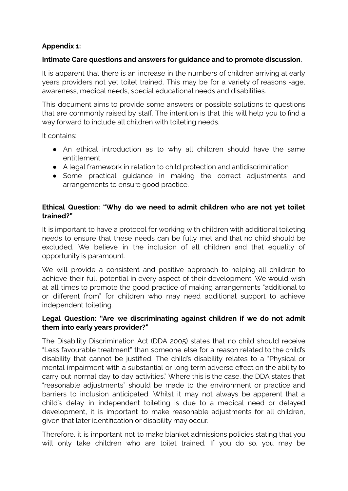# **Appendix 1:**

## **Intimate Care questions and answers for guidance and to promote discussion.**

It is apparent that there is an increase in the numbers of children arriving at early years providers not yet toilet trained. This may be for a variety of reasons -age, awareness, medical needs, special educational needs and disabilities.

This document aims to provide some answers or possible solutions to questions that are commonly raised by staff. The intention is that this will help you to find a way forward to include all children with toileting needs.

It contains:

- An ethical introduction as to why all children should have the same entitlement.
- A legal framework in relation to child protection and antidiscrimination
- Some practical quidance in making the correct adjustments and arrangements to ensure good practice.

## **Ethical Question: "Why do we need to admit children who are not yet toilet trained?"**

It is important to have a protocol for working with children with additional toileting needs to ensure that these needs can be fully met and that no child should be excluded. We believe in the inclusion of all children and that equality of opportunity is paramount.

We will provide a consistent and positive approach to helping all children to achieve their full potential in every aspect of their development. We would wish at all times to promote the good practice of making arrangements "additional to or different from" for children who may need additional support to achieve independent toileting.

## **Legal Question: "Are we discriminating against children if we do not admit them into early years provider?"**

The Disability Discrimination Act (DDA 2005) states that no child should receive "Less favourable treatment" than someone else for a reason related to the child's disability that cannot be justified. The child's disability relates to a "Physical or mental impairment with a substantial or long term adverse effect on the ability to carry out normal day to day activities." Where this is the case, the DDA states that "reasonable adjustments" should be made to the environment or practice and barriers to inclusion anticipated. Whilst it may not always be apparent that a child's delay in independent toileting is due to a medical need or delayed development, it is important to make reasonable adjustments for all children, given that later identification or disability may occur.

Therefore, it is important not to make blanket admissions policies stating that you will only take children who are toilet trained. If you do so, you may be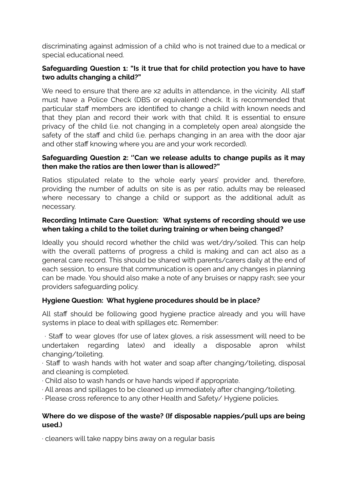discriminating against admission of a child who is not trained due to a medical or special educational need.

## **Safeguarding Question 1: "Is it true that for child protection you have to have two adults changing a child?"**

We need to ensure that there are x2 adults in attendance, in the vicinity. All staff must have a Police Check (DBS or equivalent) check. It is recommended that particular staff members are identified to change a child with known needs and that they plan and record their work with that child. It is essential to ensure privacy of the child (i.e. not changing in a completely open area) alongside the safety of the staff and child (i.e. perhaps changing in an area with the door ajar and other staff knowing where you are and your work recorded).

#### **Safeguarding Question 2: ''Can we release adults to change pupils as it may then make the ratios are then lower than is allowed?"**

Ratios stipulated relate to the whole early years' provider and, therefore, providing the number of adults on site is as per ratio, adults may be released where necessary to change a child or support as the additional adult as necessary.

## **Recording Intimate Care Question: What systems of recording should we use when taking a child to the toilet during training or when being changed?**

Ideally you should record whether the child was wet/dry/soiled. This can help with the overall patterns of progress a child is making and can act also as a general care record. This should be shared with parents/carers daily at the end of each session, to ensure that communication is open and any changes in planning can be made. You should also make a note of any bruises or nappy rash; see your providers safeguarding policy.

# **Hygiene Question: What hygiene procedures should be in place?**

All staff should be following good hygiene practice already and you will have systems in place to deal with spillages etc. Remember:

∙ Staff to wear gloves (for use of latex gloves, a risk assessment will need to be undertaken regarding latex) and ideally a disposable apron whilst changing/toileting.

∙ Staff to wash hands with hot water and soap after changing/toileting, disposal and cleaning is completed.

- ∙ Child also to wash hands or have hands wiped if appropriate.
- ∙ All areas and spillages to be cleaned up immediately after changing/toileting.

∙ Please cross reference to any other Health and Safety/ Hygiene policies.

## **Where do we dispose of the waste? (If disposable nappies/pull ups are being used.)**

∙ cleaners will take nappy bins away on a regular basis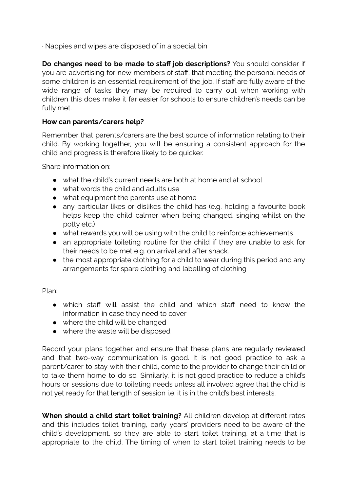∙ Nappies and wipes are disposed of in a special bin

**Do changes need to be made to staff job descriptions?** You should consider if you are advertising for new members of staff, that meeting the personal needs of some children is an essential requirement of the job. If staff are fully aware of the wide range of tasks they may be required to carry out when working with children this does make it far easier for schools to ensure children's needs can be fully met.

## **How can parents/carers help?**

Remember that parents/carers are the best source of information relating to their child. By working together, you will be ensuring a consistent approach for the child and progress is therefore likely to be quicker.

Share information on:

- what the child's current needs are both at home and at school
- what words the child and adults use
- what equipment the parents use at home
- any particular likes or dislikes the child has (e.g. holding a favourite book helps keep the child calmer when being changed, singing whilst on the potty etc.)
- what rewards you will be using with the child to reinforce achievements
- an appropriate toileting routine for the child if they are unable to ask for their needs to be met e.g. on arrival and after snack.
- the most appropriate clothing for a child to wear during this period and any arrangements for spare clothing and labelling of clothing

Plan:

- which staff will assist the child and which staff need to know the information in case they need to cover
- where the child will be changed
- where the waste will be disposed

Record your plans together and ensure that these plans are regularly reviewed and that two-way communication is good. It is not good practice to ask a parent/carer to stay with their child, come to the provider to change their child or to take them home to do so. Similarly, it is not good practice to reduce a child's hours or sessions due to toileting needs unless all involved agree that the child is not yet ready for that length of session i.e. it is in the child's best interests.

**When should a child start toilet training?** All children develop at different rates and this includes toilet training, early years' providers need to be aware of the child's development, so they are able to start toilet training, at a time that is appropriate to the child. The timing of when to start toilet training needs to be